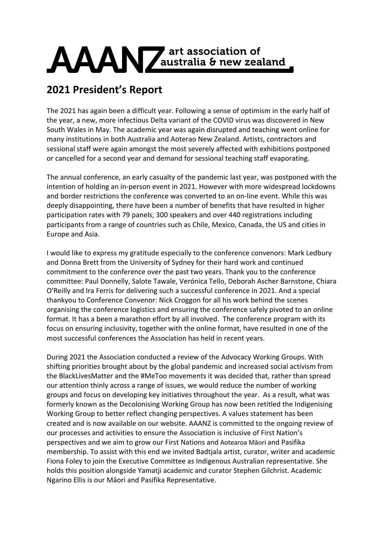

## **2021 President's Report**

The 2021 has again been a difficult year. Following a sense of optimism in the early half of the year, a new, more infectious Delta variant of the COVID virus was discovered in New South Wales in May. The academic year was again disrupted and teaching went online for many institutions in both Australia and Aoterao New Zealand. Artists, contractors and sessional staff were again amongst the most severely affected with exhibitions postponed or cancelled for a second year and demand for sessional teaching staff evaporating.

The annual conference, an early casualty of the pandemic last year, was postponed with the intention of holding an in-person event in 2021. However with more widespread lockdowns and border restrictions the conference was converted to an on-line event. While this was deeply disappointing, there have been a number of benefits that have resulted in higher participation rates with 79 panels, 300 speakers and over 440 registrations including participants from a range of countries such as Chile, Mexico, Canada, the US and cities in Europe and Asia.

I would like to express my gratitude especially to the conference convenors: Mark Ledbury and Donna Brett from the University of Sydney for their hard work and continued commitment to the conference over the past two years. Thank you to the conference committee: Paul Donnelly, Salote Tawale, Verónica Tello, Deborah Ascher Barnstone, Chiara O'Reilly and Ira Ferris for delivering such a successful conference in 2021. And a special thankyou to Conference Convenor: Nick Croggon for all his work behind the scenes organising the conference logistics and ensuring the conference safely pivoted to an online format. It has a been a marathon effort by all involved. The conference program with its focus on ensuring inclusivity, together with the online format, have resulted in one of the most successful conferences the Association has held in recent years.

During 2021 the Association conducted a review of the Advocacy Working Groups. With shifting priorities brought about by the global pandemic and increased social activism from the BlackLivesMatter and the #MeToo movements it was decided that, rather than spread our attention thinly across a range of issues, we would reduce the number of working groups and focus on developing key initiatives throughout the year. As a result, what was formerly known as the Decolonising Working Group has now been retitled the Indigenising Working Group to better reflect changing perspectives. A values statement has been created and is now available on our website. AAANZ is committed to the ongoing review of our processes and activities to ensure the Association is inclusive of First Nation's perspectives and we aim to grow our First Nations and Aotearoa Māori and Pasifika membership. To assist with this end we invited Badtjala artist, curator, writer and academic Fiona Foley to join the Executive Committee as Indigenous Australian representative. She holds this position alongside Yamatji academic and curator Stephen Gilchrist. Academic Ngarino Ellis is our Māori and Pasifika Representative.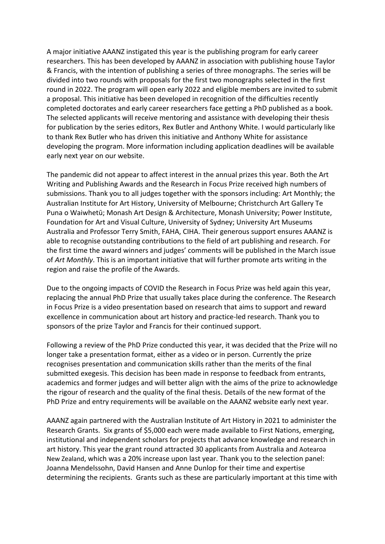A major initiative AAANZ instigated this year is the publishing program for early career researchers. This has been developed by AAANZ in association with publishing house Taylor & Francis, with the intention of publishing a series of three monographs. The series will be divided into two rounds with proposals for the first two monographs selected in the first round in 2022. The program will open early 2022 and eligible members are invited to submit a proposal. This initiative has been developed in recognition of the difficulties recently completed doctorates and early career researchers face getting a PhD published as a book. The selected applicants will receive mentoring and assistance with developing their thesis for publication by the series editors, Rex Butler and Anthony White. I would particularly like to thank Rex Butler who has driven this initiative and Anthony White for assistance developing the program. More information including application deadlines will be available early next year on our website.

The pandemic did not appear to affect interest in the annual prizes this year. Both the Art Writing and Publishing Awards and the Research in Focus Prize received high numbers of submissions. Thank you to all judges together with the sponsors including: Art Monthly; the Australian Institute for Art History, University of Melbourne; Christchurch Art Gallery Te Puna o Waiwhetū; Monash Art Design & Architecture, Monash University; Power Institute, Foundation for Art and Visual Culture, University of Sydney; University Art Museums Australia and Professor Terry Smith, FAHA, CIHA. Their generous support ensures AAANZ is able to recognise outstanding contributions to the field of art publishing and research. For the first time the award winners and judges' comments will be published in the March issue of *Art Monthly*. This is an important initiative that will further promote arts writing in the region and raise the profile of the Awards.

Due to the ongoing impacts of COVID the Research in Focus Prize was held again this year, replacing the annual PhD Prize that usually takes place during the conference. The Research in Focus Prize is a video presentation based on research that aims to support and reward excellence in communication about art history and practice-led research. Thank you to sponsors of the prize Taylor and Francis for their continued support.

Following a review of the PhD Prize conducted this year, it was decided that the Prize will no longer take a presentation format, either as a video or in person. Currently the prize recognises presentation and communication skills rather than the merits of the final submitted exegesis. This decision has been made in response to feedback from entrants, academics and former judges and will better align with the aims of the prize to acknowledge the rigour of research and the quality of the final thesis. Details of the new format of the PhD Prize and entry requirements will be available on the AAANZ website early next year.

AAANZ again partnered with the Australian Institute of Art History in 2021 to administer the Research Grants. Six grants of \$5,000 each were made available to First Nations, emerging, institutional and independent scholars for projects that advance knowledge and research in art history. This year the grant round attracted 30 applicants from Australia and Aotearoa New Zealand, which was a 20% increase upon last year. Thank you to the selection panel: Joanna Mendelssohn, David Hansen and Anne Dunlop for their time and expertise determining the recipients. Grants such as these are particularly important at this time with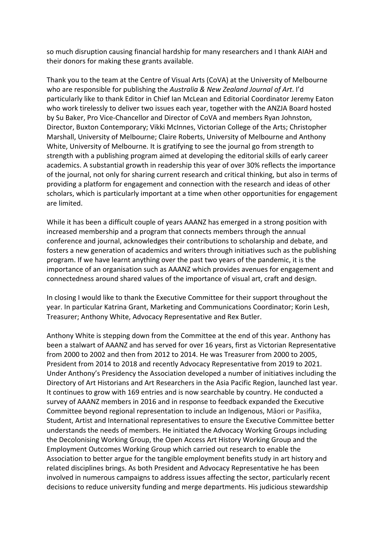so much disruption causing financial hardship for many researchers and I thank AIAH and their donors for making these grants available.

Thank you to the team at the Centre of Visual Arts (CoVA) at the University of Melbourne who are responsible for publishing the *Australia & New Zealand Journal of Art*. I'd particularly like to thank Editor in Chief Ian McLean and Editorial Coordinator Jeremy Eaton who work tirelessly to deliver two issues each year, together with the ANZJA Board hosted by Su Baker, Pro Vice-Chancellor and Director of CoVA and members Ryan Johnston, Director, Buxton Contemporary; Vikki McInnes, Victorian College of the Arts; Christopher Marshall, University of Melbourne; Claire Roberts, University of Melbourne and Anthony White, University of Melbourne. It is gratifying to see the journal go from strength to strength with a publishing program aimed at developing the editorial skills of early career academics. A substantial growth in readership this year of over 30% reflects the importance of the journal, not only for sharing current research and critical thinking, but also in terms of providing a platform for engagement and connection with the research and ideas of other scholars, which is particularly important at a time when other opportunities for engagement are limited.

While it has been a difficult couple of years AAANZ has emerged in a strong position with increased membership and a program that connects members through the annual conference and journal, acknowledges their contributions to scholarship and debate, and fosters a new generation of academics and writers through initiatives such as the publishing program. If we have learnt anything over the past two years of the pandemic, it is the importance of an organisation such as AAANZ which provides avenues for engagement and connectedness around shared values of the importance of visual art, craft and design.

In closing I would like to thank the Executive Committee for their support throughout the year. In particular Katrina Grant, Marketing and Communications Coordinator; Korin Lesh, Treasurer; Anthony White, Advocacy Representative and Rex Butler.

Anthony White is stepping down from the Committee at the end of this year. Anthony has been a stalwart of AAANZ and has served for over 16 years, first as Victorian Representative from 2000 to 2002 and then from 2012 to 2014. He was Treasurer from 2000 to 2005, President from 2014 to 2018 and recently Advocacy Representative from 2019 to 2021. Under Anthony's Presidency the Association developed a number of initiatives including the Directory of Art Historians and Art Researchers in the Asia Pacific Region, launched last year. It continues to grow with 169 entries and is now searchable by country. He conducted a survey of AAANZ members in 2016 and in response to feedback expanded the Executive Committee beyond regional representation to include an Indigenous, Māori or Pasifika, Student, Artist and International representatives to ensure the Executive Committee better understands the needs of members. He initiated the Advocacy Working Groups including the Decolonising Working Group, the Open Access Art History Working Group and the Employment Outcomes Working Group which carried out research to enable the Association to better argue for the tangible employment benefits study in art history and related disciplines brings. As both President and Advocacy Representative he has been involved in numerous campaigns to address issues affecting the sector, particularly recent decisions to reduce university funding and merge departments. His judicious stewardship